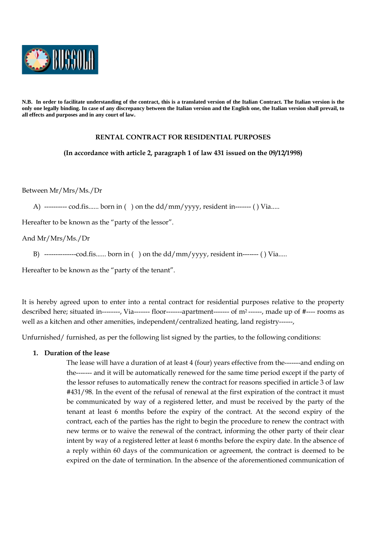

**N.B. In order to facilitate understanding of the contract, this is a translated version of the Italian Contract. The Italian version is the only one legally binding. In case of any discrepancy between the Italian version and the English one, the Italian version shall prevail, to all effects and purposes and in any court of law.** 

## **RENTAL CONTRACT FOR RESIDENTIAL PURPOSES**

#### **(In accordance with article 2, paragraph 1 of law 431 issued on the 09/12/1998)**

Between Mr/Mrs/Ms./Dr

A) ---------- cod.fis...... born in () on the dd/mm/yyyy, resident in------- () Via.....

Hereafter to be known as the "party of the lessor".

And Mr/Mrs/Ms./Dr

B) ---------------cod.fis...... born in ( ) on the  $dd/mm/vyvy,$  resident in------- ( ) Via.....

Hereafter to be known as the "party of the tenant".

It is hereby agreed upon to enter into a rental contract for residential purposes relative to the property described here; situated in--------, Via------- floor-------apartment------- of m<sup>2</sup>------, made up of #---- rooms as well as a kitchen and other amenities, independent/centralized heating, land registry------,

Unfurnished/ furnished, as per the following list signed by the parties, to the following conditions:

#### **1. Duration of the lease**

The lease will have a duration of at least 4 (four) years effective from the-------and ending on the------- and it will be automatically renewed for the same time period except if the party of the lessor refuses to automatically renew the contract for reasons specified in article 3 of law #431/98. In the event of the refusal of renewal at the first expiration of the contract it must be communicated by way of a registered letter, and must be received by the party of the tenant at least 6 months before the expiry of the contract. At the second expiry of the contract, each of the parties has the right to begin the procedure to renew the contract with new terms or to waive the renewal of the contract, informing the other party of their clear intent by way of a registered letter at least 6 months before the expiry date. In the absence of a reply within 60 days of the communication or agreement, the contract is deemed to be expired on the date of termination. In the absence of the aforementioned communication of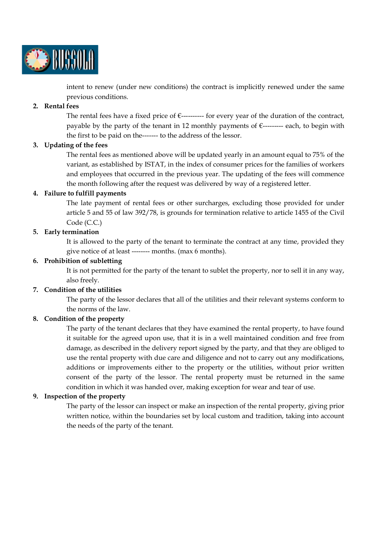

intent to renew (under new conditions) the contract is implicitly renewed under the same previous conditions.

# **2. Rental fees**

The rental fees have a fixed price of  $\epsilon$ ---------- for every year of the duration of the contract, payable by the party of the tenant in 12 monthly payments of  $\epsilon$ --------- each, to begin with the first to be paid on the------- to the address of the lessor.

### **3. Updating of the fees**

The rental fees as mentioned above will be updated yearly in an amount equal to 75% of the variant, as established by ISTAT, in the index of consumer prices for the families of workers and employees that occurred in the previous year. The updating of the fees will commence the month following after the request was delivered by way of a registered letter.

### **4. Failure to fulfill payments**

The late payment of rental fees or other surcharges, excluding those provided for under article 5 and 55 of law 392/78, is grounds for termination relative to article 1455 of the Civil Code (C.C.)

### **5. Early termination**

It is allowed to the party of the tenant to terminate the contract at any time, provided they give notice of at least -------- months. (max 6 months).

# **6. Prohibition of subletting**

It is not permitted for the party of the tenant to sublet the property, nor to sell it in any way, also freely.

# **7. Condition of the utilities**

The party of the lessor declares that all of the utilities and their relevant systems conform to the norms of the law.

# **8. Condition of the property**

The party of the tenant declares that they have examined the rental property, to have found it suitable for the agreed upon use, that it is in a well maintained condition and free from damage, as described in the delivery report signed by the party, and that they are obliged to use the rental property with due care and diligence and not to carry out any modifications, additions or improvements either to the property or the utilities, without prior written consent of the party of the lessor. The rental property must be returned in the same condition in which it was handed over, making exception for wear and tear of use.

# **9. Inspection of the property**

The party of the lessor can inspect or make an inspection of the rental property, giving prior written notice, within the boundaries set by local custom and tradition, taking into account the needs of the party of the tenant.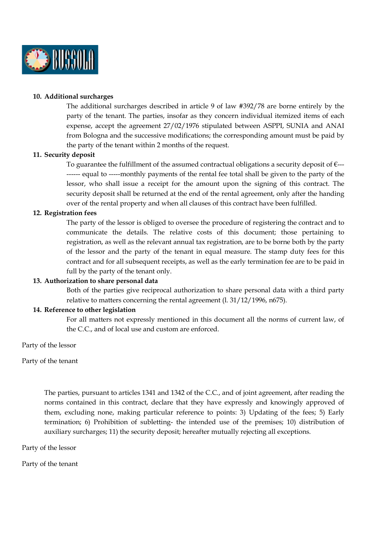

#### **10. Additional surcharges**

The additional surcharges described in article 9 of law #392/78 are borne entirely by the party of the tenant. The parties, insofar as they concern individual itemized items of each expense, accept the agreement 27/02/1976 stipulated between ASPPI, SUNIA and ANAI from Bologna and the successive modifications; the corresponding amount must be paid by the party of the tenant within 2 months of the request.

# **11. Security deposit**

To guarantee the fulfillment of the assumed contractual obligations a security deposit of  $\epsilon$ --------- equal to -----monthly payments of the rental fee total shall be given to the party of the lessor, who shall issue a receipt for the amount upon the signing of this contract. The security deposit shall be returned at the end of the rental agreement, only after the handing over of the rental property and when all clauses of this contract have been fulfilled.

#### **12. Registration fees**

The party of the lessor is obliged to oversee the procedure of registering the contract and to communicate the details. The relative costs of this document; those pertaining to registration, as well as the relevant annual tax registration, are to be borne both by the party of the lessor and the party of the tenant in equal measure. The stamp duty fees for this contract and for all subsequent receipts, as well as the early termination fee are to be paid in full by the party of the tenant only.

#### **13. Authorization to share personal data**

Both of the parties give reciprocal authorization to share personal data with a third party relative to matters concerning the rental agreement (l. 31/12/1996, n675).

#### **14. Reference to other legislation**

For all matters not expressly mentioned in this document all the norms of current law, of the C.C., and of local use and custom are enforced.

Party of the lessor

Party of the tenant

The parties, pursuant to articles 1341 and 1342 of the C.C., and of joint agreement, after reading the norms contained in this contract, declare that they have expressly and knowingly approved of them, excluding none, making particular reference to points: 3) Updating of the fees; 5) Early termination; 6) Prohibition of subletting- the intended use of the premises; 10) distribution of auxiliary surcharges; 11) the security deposit; hereafter mutually rejecting all exceptions.

Party of the lessor

Party of the tenant